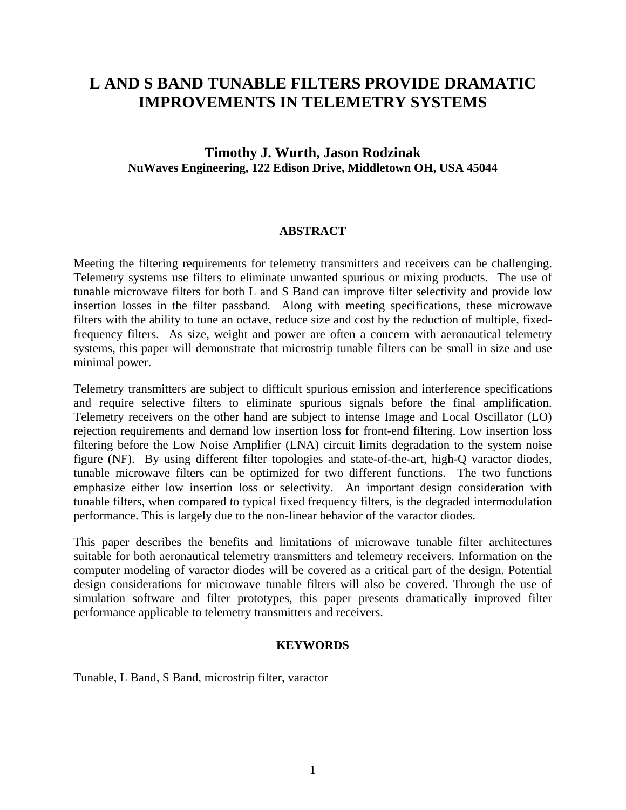# **L AND S BAND TUNABLE FILTERS PROVIDE DRAMATIC IMPROVEMENTS IN TELEMETRY SYSTEMS**

### **Timothy J. Wurth, Jason Rodzinak NuWaves Engineering, 122 Edison Drive, Middletown OH, USA 45044**

#### **ABSTRACT**

Meeting the filtering requirements for telemetry transmitters and receivers can be challenging. Telemetry systems use filters to eliminate unwanted spurious or mixing products. The use of tunable microwave filters for both L and S Band can improve filter selectivity and provide low insertion losses in the filter passband. Along with meeting specifications, these microwave filters with the ability to tune an octave, reduce size and cost by the reduction of multiple, fixedfrequency filters. As size, weight and power are often a concern with aeronautical telemetry systems, this paper will demonstrate that microstrip tunable filters can be small in size and use minimal power.

Telemetry transmitters are subject to difficult spurious emission and interference specifications and require selective filters to eliminate spurious signals before the final amplification. Telemetry receivers on the other hand are subject to intense Image and Local Oscillator (LO) rejection requirements and demand low insertion loss for front-end filtering. Low insertion loss filtering before the Low Noise Amplifier (LNA) circuit limits degradation to the system noise figure (NF). By using different filter topologies and state-of-the-art, high-Q varactor diodes, tunable microwave filters can be optimized for two different functions. The two functions emphasize either low insertion loss or selectivity. An important design consideration with tunable filters, when compared to typical fixed frequency filters, is the degraded intermodulation performance. This is largely due to the non-linear behavior of the varactor diodes.

This paper describes the benefits and limitations of microwave tunable filter architectures suitable for both aeronautical telemetry transmitters and telemetry receivers. Information on the computer modeling of varactor diodes will be covered as a critical part of the design. Potential design considerations for microwave tunable filters will also be covered. Through the use of simulation software and filter prototypes, this paper presents dramatically improved filter performance applicable to telemetry transmitters and receivers.

#### **KEYWORDS**

Tunable, L Band, S Band, microstrip filter, varactor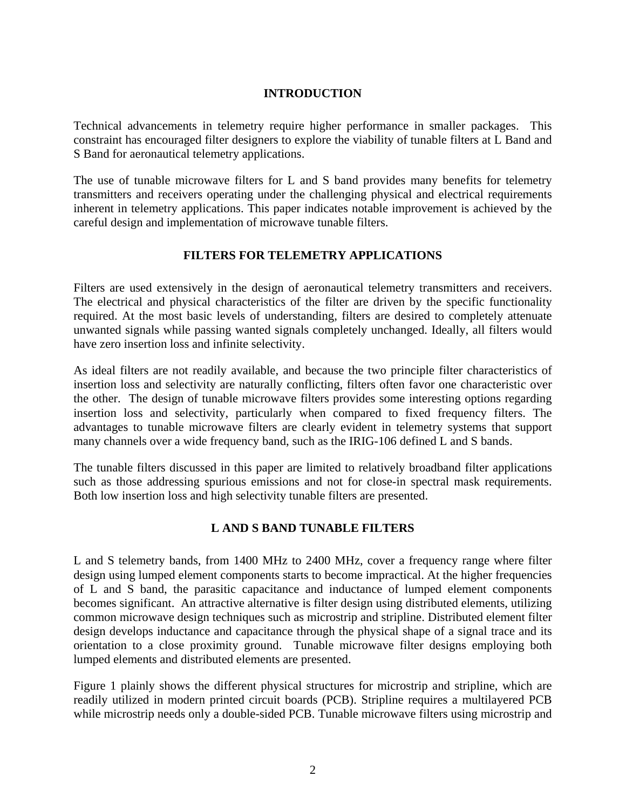#### **INTRODUCTION**

Technical advancements in telemetry require higher performance in smaller packages. This constraint has encouraged filter designers to explore the viability of tunable filters at L Band and S Band for aeronautical telemetry applications.

The use of tunable microwave filters for L and S band provides many benefits for telemetry transmitters and receivers operating under the challenging physical and electrical requirements inherent in telemetry applications. This paper indicates notable improvement is achieved by the careful design and implementation of microwave tunable filters.

#### **FILTERS FOR TELEMETRY APPLICATIONS**

Filters are used extensively in the design of aeronautical telemetry transmitters and receivers. The electrical and physical characteristics of the filter are driven by the specific functionality required. At the most basic levels of understanding, filters are desired to completely attenuate unwanted signals while passing wanted signals completely unchanged. Ideally, all filters would have zero insertion loss and infinite selectivity.

As ideal filters are not readily available, and because the two principle filter characteristics of insertion loss and selectivity are naturally conflicting, filters often favor one characteristic over the other. The design of tunable microwave filters provides some interesting options regarding insertion loss and selectivity, particularly when compared to fixed frequency filters. The advantages to tunable microwave filters are clearly evident in telemetry systems that support many channels over a wide frequency band, such as the IRIG-106 defined L and S bands.

The tunable filters discussed in this paper are limited to relatively broadband filter applications such as those addressing spurious emissions and not for close-in spectral mask requirements. Both low insertion loss and high selectivity tunable filters are presented.

### **L AND S BAND TUNABLE FILTERS**

L and S telemetry bands, from 1400 MHz to 2400 MHz, cover a frequency range where filter design using lumped element components starts to become impractical. At the higher frequencies of L and S band, the parasitic capacitance and inductance of lumped element components becomes significant. An attractive alternative is filter design using distributed elements, utilizing common microwave design techniques such as microstrip and stripline. Distributed element filter design develops inductance and capacitance through the physical shape of a signal trace and its orientation to a close proximity ground. Tunable microwave filter designs employing both lumped elements and distributed elements are presented.

Figure 1 plainly shows the different physical structures for microstrip and stripline, which are readily utilized in modern printed circuit boards (PCB). Stripline requires a multilayered PCB while microstrip needs only a double-sided PCB. Tunable microwave filters using microstrip and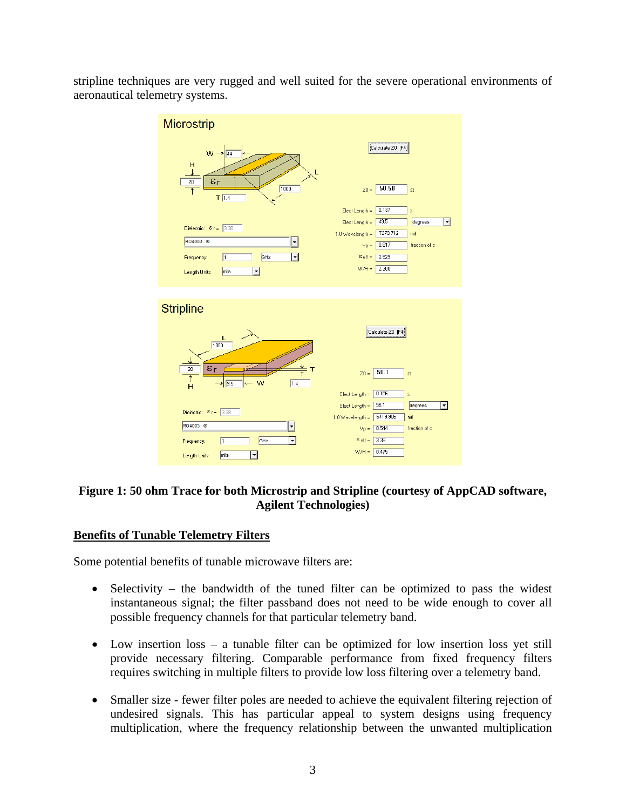stripline techniques are very rugged and well suited for the severe operational environments of aeronautical telemetry systems.



### **Figure 1: 50 ohm Trace for both Microstrip and Stripline (courtesy of AppCAD software, Agilent Technologies)**

### **Benefits of Tunable Telemetry Filters**

Some potential benefits of tunable microwave filters are:

- Selectivity the bandwidth of the tuned filter can be optimized to pass the widest instantaneous signal; the filter passband does not need to be wide enough to cover all possible frequency channels for that particular telemetry band.
- Low insertion loss a tunable filter can be optimized for low insertion loss yet still provide necessary filtering. Comparable performance from fixed frequency filters requires switching in multiple filters to provide low loss filtering over a telemetry band.
- Smaller size fewer filter poles are needed to achieve the equivalent filtering rejection of undesired signals. This has particular appeal to system designs using frequency multiplication, where the frequency relationship between the unwanted multiplication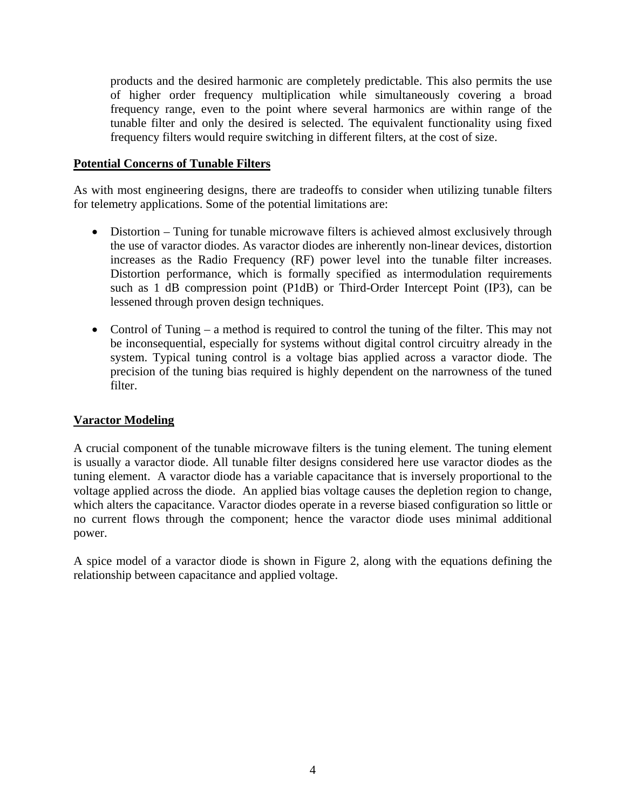products and the desired harmonic are completely predictable. This also permits the use of higher order frequency multiplication while simultaneously covering a broad frequency range, even to the point where several harmonics are within range of the tunable filter and only the desired is selected. The equivalent functionality using fixed frequency filters would require switching in different filters, at the cost of size.

#### **Potential Concerns of Tunable Filters**

As with most engineering designs, there are tradeoffs to consider when utilizing tunable filters for telemetry applications. Some of the potential limitations are:

- Distortion Tuning for tunable microwave filters is achieved almost exclusively through the use of varactor diodes. As varactor diodes are inherently non-linear devices, distortion increases as the Radio Frequency (RF) power level into the tunable filter increases. Distortion performance, which is formally specified as intermodulation requirements such as 1 dB compression point (P1dB) or Third-Order Intercept Point (IP3), can be lessened through proven design techniques.
- Control of Tuning a method is required to control the tuning of the filter. This may not be inconsequential, especially for systems without digital control circuitry already in the system. Typical tuning control is a voltage bias applied across a varactor diode. The precision of the tuning bias required is highly dependent on the narrowness of the tuned filter.

### **Varactor Modeling**

A crucial component of the tunable microwave filters is the tuning element. The tuning element is usually a varactor diode. All tunable filter designs considered here use varactor diodes as the tuning element. A varactor diode has a variable capacitance that is inversely proportional to the voltage applied across the diode. An applied bias voltage causes the depletion region to change, which alters the capacitance. Varactor diodes operate in a reverse biased configuration so little or no current flows through the component; hence the varactor diode uses minimal additional power.

A spice model of a varactor diode is shown in Figure 2, along with the equations defining the relationship between capacitance and applied voltage.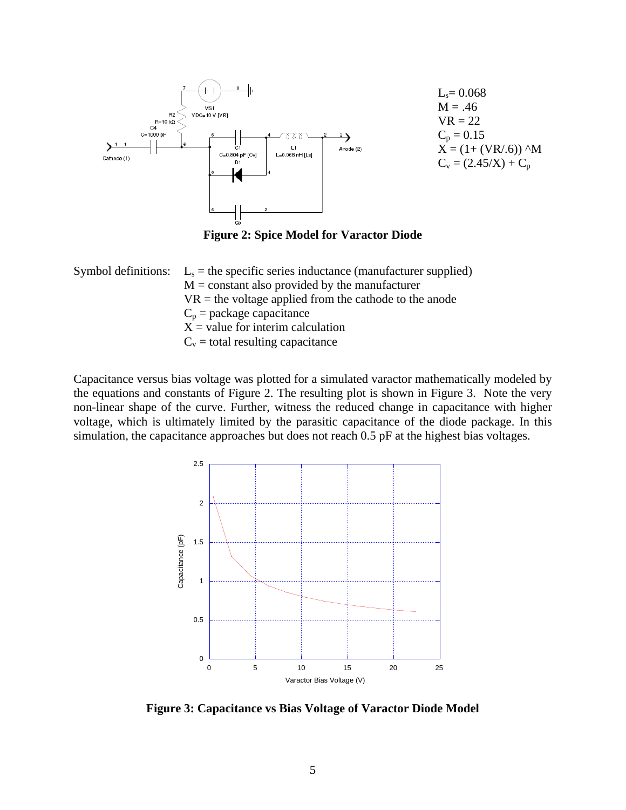

 $L_s = 0.068$  $M = .46$  $VR = 22$  $C_p = 0.15$  $X = (1 + (VR/.6))$  ^M  $C_v = (2.45/X) + C_p$ 

**Figure 2: Spice Model for Varactor Diode** 

|  | Symbol definitions: $L_s$ = the specific series inductance (manufacturer supplied) |
|--|------------------------------------------------------------------------------------|
|  | $M = constant$ also provided by the manufacturer                                   |
|  | $VR =$ the voltage applied from the cathode to the anode                           |
|  | $C_p$ = package capacitance                                                        |
|  | $X =$ value for interim calculation                                                |
|  | $C_v$ = total resulting capacitance                                                |

Capacitance versus bias voltage was plotted for a simulated varactor mathematically modeled by the equations and constants of Figure 2. The resulting plot is shown in Figure 3. Note the very non-linear shape of the curve. Further, witness the reduced change in capacitance with higher voltage, which is ultimately limited by the parasitic capacitance of the diode package. In this simulation, the capacitance approaches but does not reach 0.5 pF at the highest bias voltages.



**Figure 3: Capacitance vs Bias Voltage of Varactor Diode Model**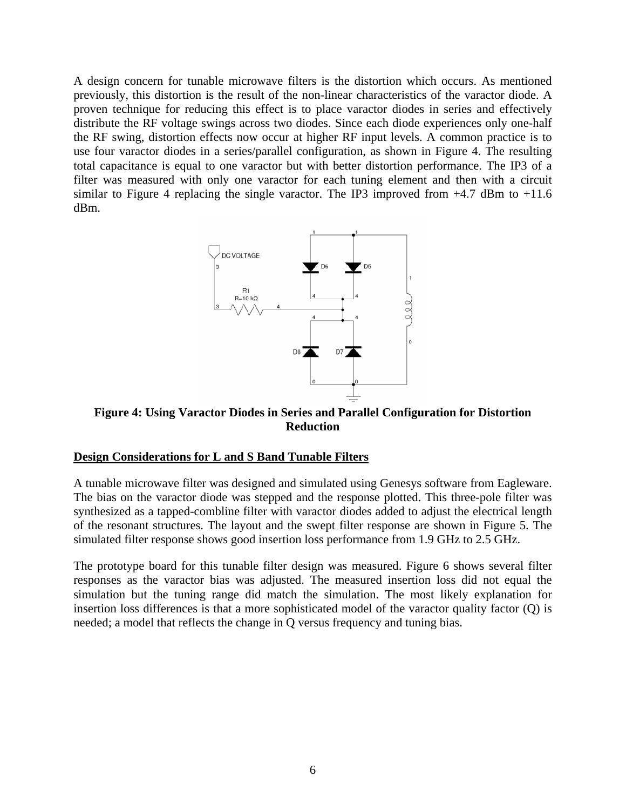A design concern for tunable microwave filters is the distortion which occurs. As mentioned previously, this distortion is the result of the non-linear characteristics of the varactor diode. A proven technique for reducing this effect is to place varactor diodes in series and effectively distribute the RF voltage swings across two diodes. Since each diode experiences only one-half the RF swing, distortion effects now occur at higher RF input levels. A common practice is to use four varactor diodes in a series/parallel configuration, as shown in Figure 4. The resulting total capacitance is equal to one varactor but with better distortion performance. The IP3 of a filter was measured with only one varactor for each tuning element and then with a circuit similar to Figure 4 replacing the single varactor. The IP3 improved from  $+4.7$  dBm to  $+11.6$ dBm.



**Figure 4: Using Varactor Diodes in Series and Parallel Configuration for Distortion Reduction** 

#### **Design Considerations for L and S Band Tunable Filters**

A tunable microwave filter was designed and simulated using Genesys software from Eagleware. The bias on the varactor diode was stepped and the response plotted. This three-pole filter was synthesized as a tapped-combline filter with varactor diodes added to adjust the electrical length of the resonant structures. The layout and the swept filter response are shown in Figure 5. The simulated filter response shows good insertion loss performance from 1.9 GHz to 2.5 GHz.

The prototype board for this tunable filter design was measured. Figure 6 shows several filter responses as the varactor bias was adjusted. The measured insertion loss did not equal the simulation but the tuning range did match the simulation. The most likely explanation for insertion loss differences is that a more sophisticated model of the varactor quality factor (Q) is needed; a model that reflects the change in Q versus frequency and tuning bias.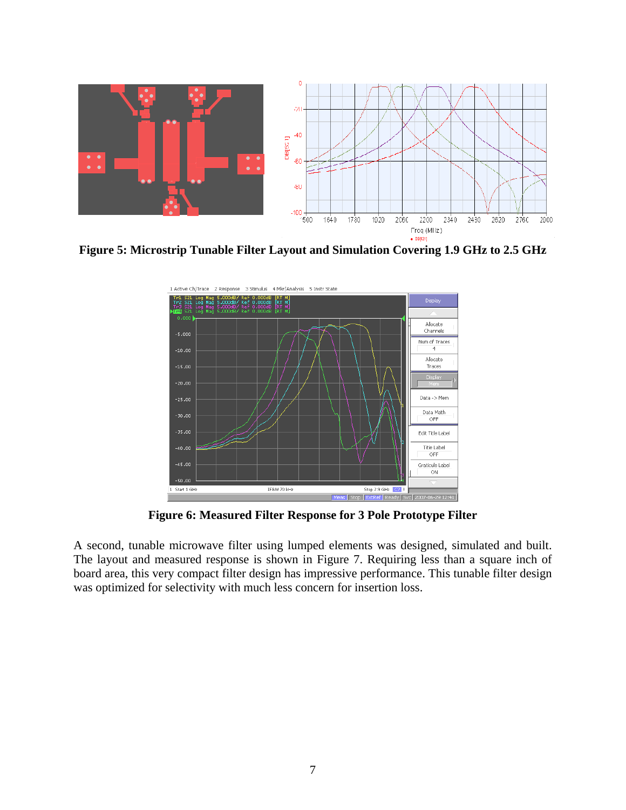

**Figure 5: Microstrip Tunable Filter Layout and Simulation Covering 1.9 GHz to 2.5 GHz** 



**Figure 6: Measured Filter Response for 3 Pole Prototype Filter** 

A second, tunable microwave filter using lumped elements was designed, simulated and built. The layout and measured response is shown in Figure 7. Requiring less than a square inch of board area, this very compact filter design has impressive performance. This tunable filter design was optimized for selectivity with much less concern for insertion loss.